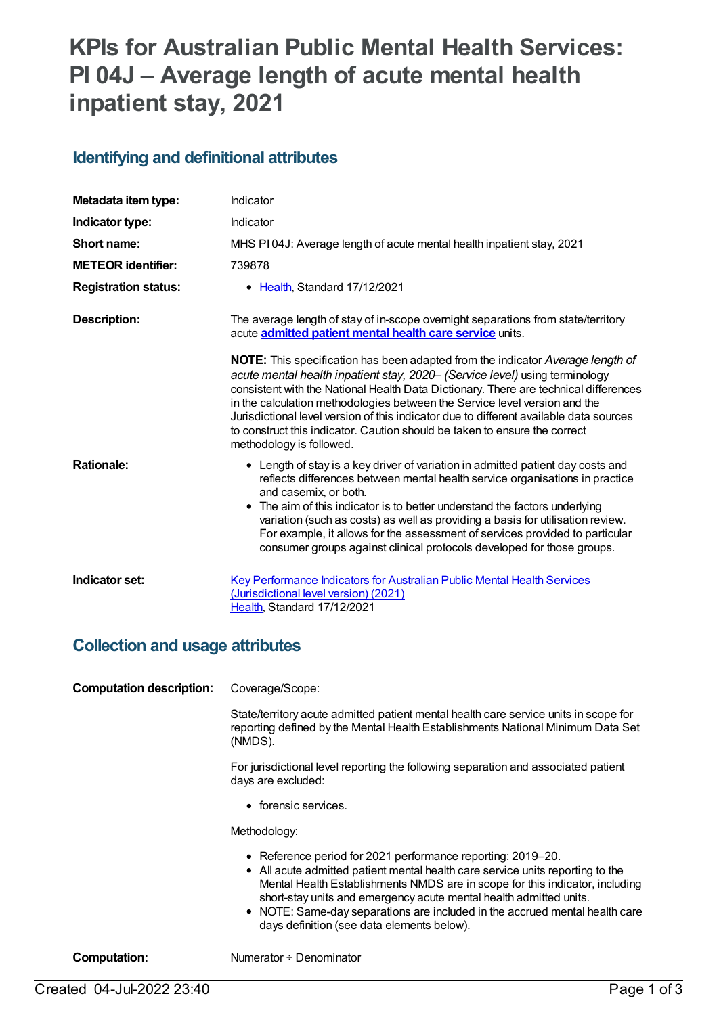# **KPIs for Australian Public Mental Health Services: PI 04J – Average length of acute mental health inpatient stay, 2021**

#### **Identifying and definitional attributes**

| Metadata item type:         | Indicator                                                                                                                                                                                                                                                                                                                                                                                                                                                                                                                                      |
|-----------------------------|------------------------------------------------------------------------------------------------------------------------------------------------------------------------------------------------------------------------------------------------------------------------------------------------------------------------------------------------------------------------------------------------------------------------------------------------------------------------------------------------------------------------------------------------|
| Indicator type:             | Indicator                                                                                                                                                                                                                                                                                                                                                                                                                                                                                                                                      |
| Short name:                 | MHS PI04J: Average length of acute mental health inpatient stay, 2021                                                                                                                                                                                                                                                                                                                                                                                                                                                                          |
| <b>METEOR identifier:</b>   | 739878                                                                                                                                                                                                                                                                                                                                                                                                                                                                                                                                         |
| <b>Registration status:</b> | • Health, Standard 17/12/2021                                                                                                                                                                                                                                                                                                                                                                                                                                                                                                                  |
| <b>Description:</b>         | The average length of stay of in-scope overnight separations from state/territory<br>acute <b>admitted patient mental health care service</b> units.                                                                                                                                                                                                                                                                                                                                                                                           |
|                             | <b>NOTE:</b> This specification has been adapted from the indicator Average length of<br>acute mental health inpatient stay, 2020– (Service level) using terminology<br>consistent with the National Health Data Dictionary. There are technical differences<br>in the calculation methodologies between the Service level version and the<br>Jurisdictional level version of this indicator due to different available data sources<br>to construct this indicator. Caution should be taken to ensure the correct<br>methodology is followed. |
| <b>Rationale:</b>           | • Length of stay is a key driver of variation in admitted patient day costs and<br>reflects differences between mental health service organisations in practice<br>and casemix, or both.<br>• The aim of this indicator is to better understand the factors underlying<br>variation (such as costs) as well as providing a basis for utilisation review.<br>For example, it allows for the assessment of services provided to particular<br>consumer groups against clinical protocols developed for those groups.                             |
| Indicator set:              | Key Performance Indicators for Australian Public Mental Health Services<br>(Jurisdictional level version) (2021)<br>Health, Standard 17/12/2021                                                                                                                                                                                                                                                                                                                                                                                                |

#### **Collection and usage attributes**

**Computation description:** Coverage/Scope:

State/territory acute admitted patient mental health care service units in scope for reporting defined by the Mental Health Establishments National Minimum Data Set (NMDS).

For jurisdictional level reporting the following separation and associated patient days are excluded:

• forensic services.

Methodology:

- Reference period for 2021 performance reporting: 2019–20.
- All acute admitted patient mental health care service units reporting to the Mental Health Establishments NMDS are in scope for this indicator, including short-stay units and emergency acute mental health admitted units.
- NOTE: Same-day separations are included in the accrued mental health care days definition (see data elements below).

**Computation:** Numerator ÷ Denominator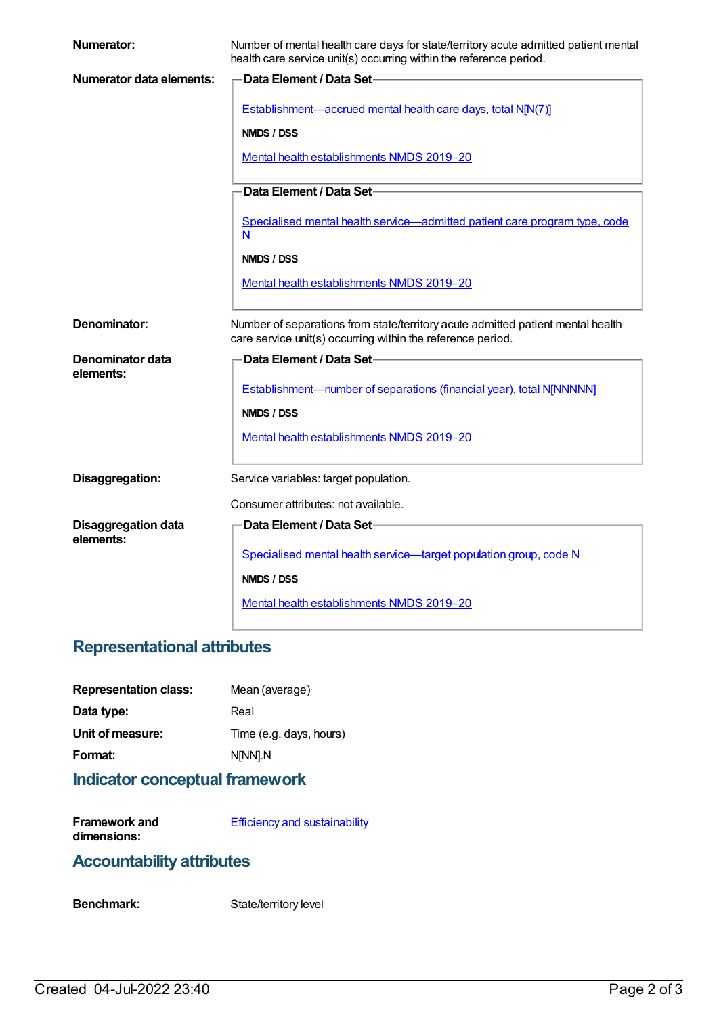| <b>Numerator:</b>                       | Number of mental health care days for state/territory acute admitted patient mental<br>health care service unit(s) occurring within the reference period. |
|-----------------------------------------|-----------------------------------------------------------------------------------------------------------------------------------------------------------|
| Numerator data elements:                | <b>Data Element / Data Set-</b>                                                                                                                           |
|                                         | Establishment—accrued mental health care days, total N[N(7)]                                                                                              |
|                                         | NMDS / DSS                                                                                                                                                |
|                                         | Mental health establishments NMDS 2019-20                                                                                                                 |
|                                         | Data Element / Data Set-                                                                                                                                  |
|                                         |                                                                                                                                                           |
|                                         | Specialised mental health service—admitted patient care program type, code<br>N                                                                           |
|                                         | NMDS / DSS                                                                                                                                                |
|                                         | Mental health establishments NMDS 2019-20                                                                                                                 |
|                                         |                                                                                                                                                           |
| Denominator:                            | Number of separations from state/territory acute admitted patient mental health<br>care service unit(s) occurring within the reference period.            |
| Denominator data                        | Data Element / Data Set-                                                                                                                                  |
| elements:                               |                                                                                                                                                           |
|                                         | Establishment-number of separations (financial year), total N[NNNNN]                                                                                      |
|                                         | NMDS / DSS                                                                                                                                                |
|                                         | Mental health establishments NMDS 2019-20                                                                                                                 |
| Disaggregation:                         | Service variables: target population.                                                                                                                     |
|                                         | Consumer attributes: not available.                                                                                                                       |
|                                         | Data Element / Data Set-                                                                                                                                  |
| <b>Disaggregation data</b><br>elements: |                                                                                                                                                           |
|                                         | Specialised mental health service-target population group, code N                                                                                         |
|                                         | NMDS / DSS                                                                                                                                                |
|                                         | Mental health establishments NMDS 2019-20                                                                                                                 |
|                                         |                                                                                                                                                           |

# **Representational attributes**

| Mean (average)          |
|-------------------------|
| Real                    |
| Time (e.g. days, hours) |
| N[NN].N                 |
|                         |

# **Indicator conceptual framework**

**Framework and dimensions: Efficiency and [sustainability](https://meteor.aihw.gov.au/content/721208)** 

### **Accountability attributes**

Benchmark: State/territory level